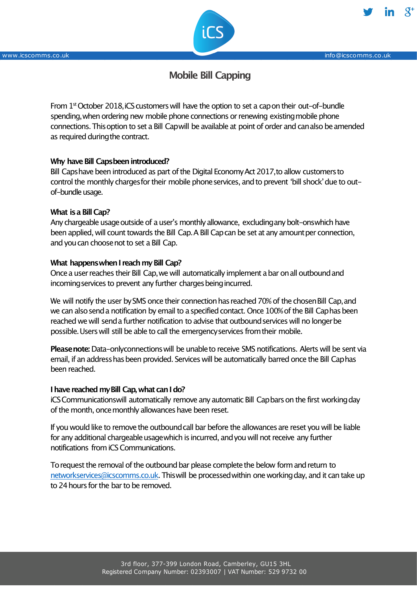

www.icscomms.co.uk info@icscomms.co.uk info@icscomms.co.uk

# **Mobile Bill Capping**

From 1<sup>st</sup> October 2018, iCS customers will have the option to set a cap on their out-of-bundle spending,when ordering new mobile phone connections or renewing existingmobile phone connections.Thisoption to set a Bill Capwill be available at point of order and canalso beamended as required duringthe contract.

# **Why have Bill Capsbeen introduced?**

Bill Capshave been introduced as part of the Digital EconomyAct 2017,to allow customersto control the monthly charges for their mobile phone services, and to prevent 'bill shock' due to outof-bundle usage.

# **What isa Bill Cap?**

Any chargeable usage outside of a user's monthly allowance, excluding any bolt-onswhich have been applied, will count towards the Bill Cap. A Bill Cap can be set at any amount per connection, and you can choose not to set a Bill Cap.

# **What** happens when I reach my Bill Cap?

Once a user reaches their Bill Cap, we will automatically implement a bar on all outbound and incoming services to prevent any further charges being incurred.

We will notify the user by SMS once their connection has reached 70% of the chosen Bill Cap, and we can also send a notification by email to a specified contact. Once 100% of the Bill Caphas been reached we will senda further notification to advise that outboundservices will no longerbe possible.Userswill still be able to call the emergencyservices fromtheir mobile.

**Pleasenote:** Data-onlyconnectionswill be unableto receive SMS notifications. Alerts will be sent via email, if an addresshasbeen provided. Services will be automatically barred once the Bill Caphas been reached.

### **Ihave reachedmyBill Cap,what can Ido?**

iCS Communicationswill automatically remove any automatic Bill Capbars on the first working day of the month, once monthly allowances have been reset.

If you would like to remove the outbound call bar before the allowances are reset you will be liable for any additional chargeable usage which is incurred, and you will not receive any further notifications fromiCS Communications.

To request the removal of the outbound bar please complete the below form and return to networkservices@icscomms.co.uk. Thiswill be processedwithin one workingday, and it can take up to 24 hours for the bar to be removed.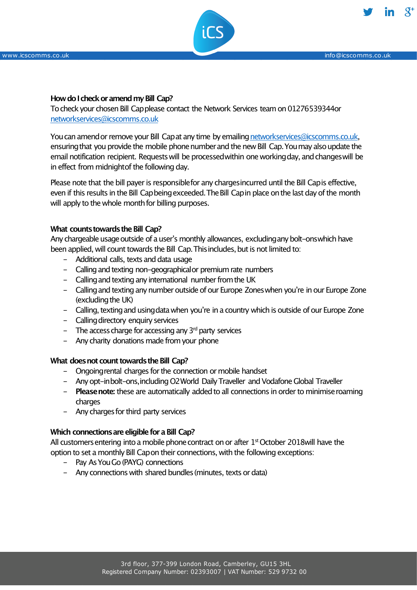

### **Howdo IcheckoramendmyBill Cap?**

Tocheck your chosen Bill Capplease contact the Network Services team on 01276539344or networkservices@icscomms.co.uk

You can amend or remove your Bill Capat any time by emailing networkservices@icscomms.co.uk, ensuringthat you provide the mobile phonenumberand the new Bill Cap.Youmay alsoupdate the email notification recipient. Requests will be processed within one working day, and changes will be in effect from midnight of the following day.

Please note that the bill payer is responsiblefor any chargesincurred until the Bill Capis effective, even if this results in the Bill Capbeing exceeded. The Bill Capin place on the last day of the month will apply to the whole month for billing purposes.

#### **What counts towards the Bill Cap?**

Any chargeable usage outside of a user's monthly allowances, excluding any bolt-onswhich have been applied, will count towards the Bill Cap. This includes, but is not limited to:

- Additional calls, texts and data usage
- Calling and texting non-geographicalor premium rate numbers
- Calling and texting any international number from the UK
- Calling and texting any number outside of our Europe Zones when you're in our Europe Zone (excluding the UK)
- Calling, texting and using data when you're in a country which is outside of our Europe Zone
- Calling directory enquiry services
- The access charge for accessing any  $3<sup>rd</sup>$  party services
- Any charity donations made from your phone

#### **What does not count towards the Bill Cap?**

- Ongoingrental charges for the connection or mobile handset
- Any opt-inbolt-ons,including O2World Daily Traveller and Vodafone Global Traveller
- **Please note:** these are automatically added to all connections in order to minimise roaming charges
- Any charges for third party services

#### **Which connectionsare eligible for a Bill Cap?**

All customers entering into a mobile phone contract on or after  $1<sup>st</sup>$  October 2018will have the option to set a monthly Bill Capon their connections, with the following exceptions:

- Pay As You Go (PAYG) connections
- Any connections with shared bundles(minutes, texts or data)